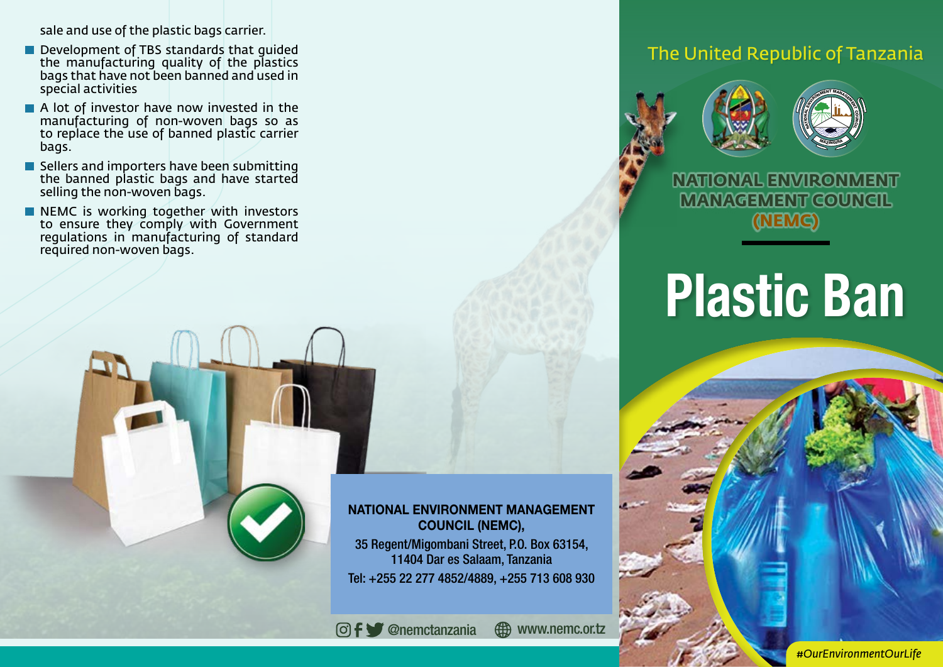sale and use of the plastic bags carrier.

- Development of TBS standards that guided the manufacturing quality of the plastics bags that have not been banned and used in special activities
- A lot of investor have now invested in the manufacturing of non-woven bags so as to replace the use of banned plastic carrier bags.
- Sellers and importers have been submitting the banned plastic bags and have started selling the non-woven bags.
- NEMC is working together with investors to ensure they comply with Government regulations in manufacturing of standard required non-woven bags.

#### NATIONAL ENVIRONMENT MANAGEMENT COUNCIL (NEMC),

35 Regent/Migombani Street, P.O. Box 63154, 11404 Dar es Salaam, Tanzania Tel: +255 22 277 4852/4889, +255 713 608 930

@nemctanzania www.nemc.or.tz

# The United Republic of Tanzania





**NATIONAL ENVIRONMENT MANAGEMENT COUNCIL (NEMC)**

# Plastic Ban